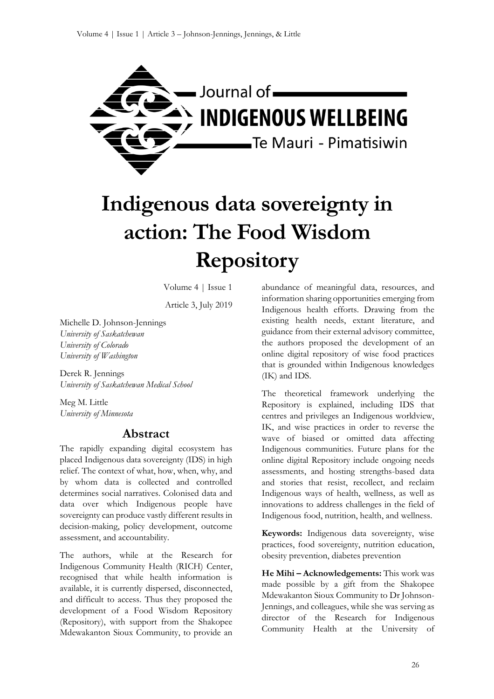

# **Indigenous data sovereignty in action: The Food Wisdom Repository**

Volume 4 | Issue 1

Article 3, July 2019

Michelle D. Johnson-Jennings *University of Saskatchewan University of Colorado University of Washington*

Derek R. Jennings *University of Saskatchewan Medical School*

Meg M. Little *University of Minnesota*

# **Abstract**

The rapidly expanding digital ecosystem has placed Indigenous data sovereignty (IDS) in high relief. The context of what, how, when, why, and by whom data is collected and controlled determines social narratives. Colonised data and data over which Indigenous people have sovereignty can produce vastly different results in decision-making, policy development, outcome assessment, and accountability.

The authors, while at the Research for Indigenous Community Health (RICH) Center, recognised that while health information is available, it is currently dispersed, disconnected, and difficult to access. Thus they proposed the development of a Food Wisdom Repository (Repository), with support from the Shakopee Mdewakanton Sioux Community, to provide an abundance of meaningful data, resources, and information sharing opportunities emerging from Indigenous health efforts. Drawing from the existing health needs, extant literature, and guidance from their external advisory committee, the authors proposed the development of an online digital repository of wise food practices that is grounded within Indigenous knowledges (IK) and IDS.

The theoretical framework underlying the Repository is explained, including IDS that centres and privileges an Indigenous worldview, IK, and wise practices in order to reverse the wave of biased or omitted data affecting Indigenous communities. Future plans for the online digital Repository include ongoing needs assessments, and hosting strengths-based data and stories that resist, recollect, and reclaim Indigenous ways of health, wellness, as well as innovations to address challenges in the field of Indigenous food, nutrition, health, and wellness.

**Keywords:** Indigenous data sovereignty, wise practices, food sovereignty, nutrition education, obesity prevention, diabetes prevention

**He Mihi – Acknowledgements:** This work was made possible by a gift from the Shakopee Mdewakanton Sioux Community to Dr Johnson-Jennings, and colleagues, while she was serving as director of the Research for Indigenous Community Health at the University of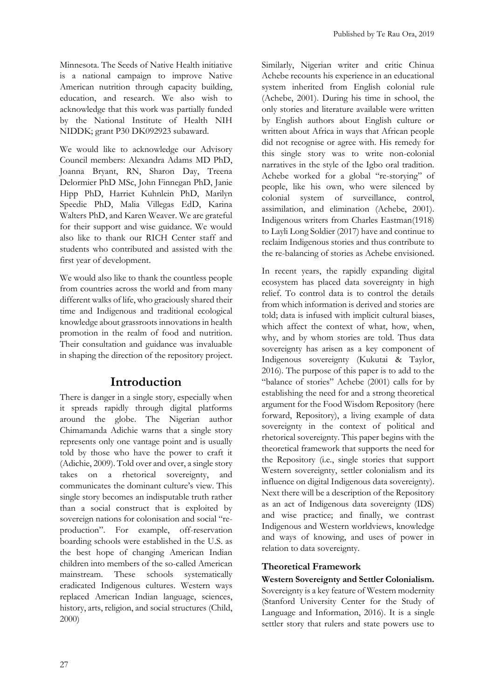Minnesota. The Seeds of Native Health initiative is a national campaign to improve Native American nutrition through capacity building, education, and research. We also wish to acknowledge that this work was partially funded by the National Institute of Health NIH NIDDK; grant P30 DK092923 subaward.

We would like to acknowledge our Advisory Council members: Alexandra Adams MD PhD, Joanna Bryant, RN, Sharon Day, Treena Delormier PhD MSc, John Finnegan PhD, Janie Hipp PhD, Harriet Kuhnlein PhD, Marilyn Speedie PhD, Malia Villegas EdD, Karina Walters PhD, and Karen Weaver. We are grateful for their support and wise guidance. We would also like to thank our RICH Center staff and students who contributed and assisted with the first year of development.

We would also like to thank the countless people from countries across the world and from many different walks of life, who graciously shared their time and Indigenous and traditional ecological knowledge about grassroots innovations in health promotion in the realm of food and nutrition. Their consultation and guidance was invaluable in shaping the direction of the repository project.

# **Introduction**

There is danger in a single story, especially when it spreads rapidly through digital platforms around the globe. The Nigerian author Chimamanda Adichie warns that a single story represents only one vantage point and is usually told by those who have the power to craft it (Adichie, 2009). Told over and over, a single story takes on a rhetorical sovereignty, and communicates the dominant culture's view. This single story becomes an indisputable truth rather than a social construct that is exploited by sovereign nations for colonisation and social "reproduction". For example, off-reservation boarding schools were established in the U.S. as the best hope of changing American Indian children into members of the so-called American mainstream. These schools systematically eradicated Indigenous cultures. Western ways replaced American Indian language, sciences, history, arts, religion, and social structures (Child, 2000)

Similarly, Nigerian writer and critic Chinua Achebe recounts his experience in an educational system inherited from English colonial rule (Achebe, 2001). During his time in school, the only stories and literature available were written by English authors about English culture or written about Africa in ways that African people did not recognise or agree with. His remedy for this single story was to write non-colonial narratives in the style of the Igbo oral tradition. Achebe worked for a global "re-storying" of people, like his own, who were silenced by colonial system of surveillance, control, assimilation, and elimination (Achebe, 2001). Indigenous writers from Charles Eastman(1918) to Layli Long Soldier (2017) have and continue to reclaim Indigenous stories and thus contribute to the re-balancing of stories as Achebe envisioned.

In recent years, the rapidly expanding digital ecosystem has placed data sovereignty in high relief. To control data is to control the details from which information is derived and stories are told; data is infused with implicit cultural biases, which affect the context of what, how, when, why, and by whom stories are told. Thus data sovereignty has arisen as a key component of Indigenous sovereignty (Kukutai & Taylor, 2016). The purpose of this paper is to add to the "balance of stories" Achebe (2001) calls for by establishing the need for and a strong theoretical argument for the Food Wisdom Repository (here forward, Repository), a living example of data sovereignty in the context of political and rhetorical sovereignty. This paper begins with the theoretical framework that supports the need for the Repository (i.e., single stories that support Western sovereignty, settler colonialism and its influence on digital Indigenous data sovereignty). Next there will be a description of the Repository as an act of Indigenous data sovereignty (IDS) and wise practice; and finally, we contrast Indigenous and Western worldviews, knowledge and ways of knowing, and uses of power in relation to data sovereignty.

# **Theoretical Framework**

**Western Sovereignty and Settler Colonialism.**  Sovereignty is a key feature of Western modernity (Stanford University Center for the Study of Language and Information, 2016). It is a single settler story that rulers and state powers use to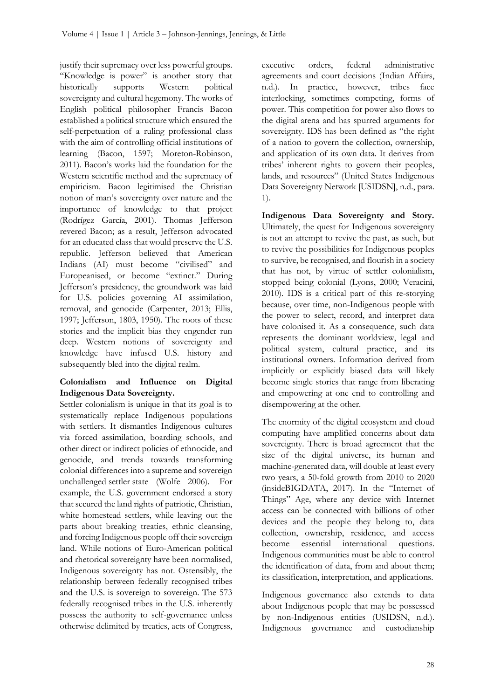justify their supremacy over less powerful groups. "Knowledge is power" is another story that historically supports Western political sovereignty and cultural hegemony. The works of English political philosopher Francis Bacon established a political structure which ensured the self-perpetuation of a ruling professional class with the aim of controlling official institutions of learning (Bacon, 1597; Moreton-Robinson, 2011). Bacon's works laid the foundation for the Western scientific method and the supremacy of empiricism. Bacon legitimised the Christian notion of man's sovereignty over nature and the importance of knowledge to that project (Rodrígez García, 2001). Thomas Jefferson revered Bacon; as a result, Jefferson advocated for an educated class that would preserve the U.S. republic. Jefferson believed that American Indians (AI) must become "civilised" and Europeanised, or become "extinct." During Jefferson's presidency, the groundwork was laid for U.S. policies governing AI assimilation, removal, and genocide (Carpenter, 2013; Ellis, 1997; Jefferson, 1803, 1950). The roots of these stories and the implicit bias they engender run deep. Western notions of sovereignty and knowledge have infused U.S. history and subsequently bled into the digital realm.

#### **Colonialism and Influence on Digital Indigenous Data Sovereignty.**

Settler colonialism is unique in that its goal is to systematically replace Indigenous populations with settlers. It dismantles Indigenous cultures via forced assimilation, boarding schools, and other direct or indirect policies of ethnocide, and genocide, and trends towards transforming colonial differences into a supreme and sovereign unchallenged settler state (Wolfe 2006). For example, the U.S. government endorsed a story that secured the land rights of patriotic, Christian, white homestead settlers, while leaving out the parts about breaking treaties, ethnic cleansing, and forcing Indigenous people off their sovereign land. While notions of Euro-American political and rhetorical sovereignty have been normalised, Indigenous sovereignty has not. Ostensibly, the relationship between federally recognised tribes and the U.S. is sovereign to sovereign. The 573 federally recognised tribes in the U.S. inherently possess the authority to self-governance unless otherwise delimited by treaties, acts of Congress,

executive orders, federal administrative agreements and court decisions (Indian Affairs, n.d.). In practice, however, tribes face interlocking, sometimes competing, forms of power. This competition for power also flows to the digital arena and has spurred arguments for sovereignty. IDS has been defined as "the right of a nation to govern the collection, ownership, and application of its own data. It derives from tribes' inherent rights to govern their peoples, lands, and resources" (United States Indigenous Data Sovereignty Network [USIDSN], n.d., para. 1).

**Indigenous Data Sovereignty and Story.** Ultimately, the quest for Indigenous sovereignty is not an attempt to revive the past, as such, but to revive the possibilities for Indigenous peoples to survive, be recognised, and flourish in a society that has not, by virtue of settler colonialism, stopped being colonial (Lyons, 2000; Veracini, 2010). IDS is a critical part of this re-storying because, over time, non-Indigenous people with the power to select, record, and interpret data have colonised it. As a consequence, such data represents the dominant worldview, legal and political system, cultural practice, and its institutional owners. Information derived from implicitly or explicitly biased data will likely become single stories that range from liberating and empowering at one end to controlling and disempowering at the other.

The enormity of the digital ecosystem and cloud computing have amplified concerns about data sovereignty. There is broad agreement that the size of the digital universe, its human and machine-generated data, will double at least every two years, a 50-fold growth from 2010 to 2020 (insideBIGDATA, 2017). In the "Internet of Things" Age, where any device with Internet access can be connected with billions of other devices and the people they belong to, data collection, ownership, residence, and access become essential international questions. Indigenous communities must be able to control the identification of data, from and about them; its classification, interpretation, and applications.

Indigenous governance also extends to data about Indigenous people that may be possessed by non-Indigenous entities (USIDSN, n.d.). Indigenous governance and custodianship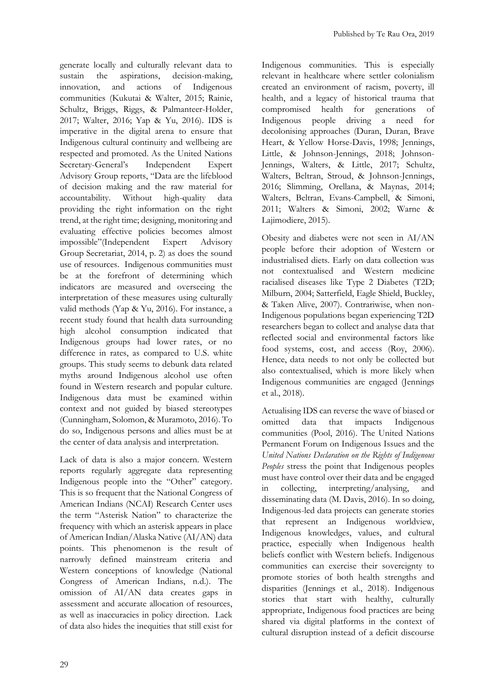generate locally and culturally relevant data to sustain the aspirations, decision-making, innovation, and actions of Indigenous communities (Kukutai & Walter, 2015; Rainie, Schultz, Briggs, Riggs, & Palmanteer-Holder, 2017; Walter, 2016; Yap & Yu, 2016). IDS is imperative in the digital arena to ensure that Indigenous cultural continuity and wellbeing are respected and promoted. As the United Nations Secretary-General's Independent Expert Advisory Group reports, "Data are the lifeblood of decision making and the raw material for accountability. Without high-quality data providing the right information on the right trend, at the right time; designing, monitoring and evaluating effective policies becomes almost impossible"(Independent Expert Advisory Group Secretariat, 2014, p. 2) as does the sound use of resources. Indigenous communities must be at the forefront of determining which indicators are measured and overseeing the interpretation of these measures using culturally valid methods (Yap & Yu, 2016). For instance, a recent study found that health data surrounding high alcohol consumption indicated that Indigenous groups had lower rates, or no difference in rates, as compared to U.S. white groups. This study seems to debunk data related myths around Indigenous alcohol use often found in Western research and popular culture. Indigenous data must be examined within context and not guided by biased stereotypes (Cunningham, Solomon, & Muramoto, 2016). To do so, Indigenous persons and allies must be at the center of data analysis and interpretation.

Lack of data is also a major concern. Western reports regularly aggregate data representing Indigenous people into the "Other" category. This is so frequent that the National Congress of American Indians (NCAI) Research Center uses the term "Asterisk Nation" to characterize the frequency with which an asterisk appears in place of American Indian/Alaska Native (AI/AN) data points. This phenomenon is the result of narrowly defined mainstream criteria and Western conceptions of knowledge (National Congress of American Indians, n.d.). The omission of AI/AN data creates gaps in assessment and accurate allocation of resources, as well as inaccuracies in policy direction. Lack of data also hides the inequities that still exist for

Indigenous communities. This is especially relevant in healthcare where settler colonialism created an environment of racism, poverty, ill health, and a legacy of historical trauma that compromised health for generations of Indigenous people driving a need for decolonising approaches (Duran, Duran, Brave Heart, & Yellow Horse-Davis, 1998; Jennings, Little, & Johnson-Jennings, 2018; Johnson-Jennings, Walters, & Little, 2017; Schultz, Walters, Beltran, Stroud, & Johnson-Jennings, 2016; Slimming, Orellana, & Maynas, 2014; Walters, Beltran, Evans-Campbell, & Simoni, 2011; Walters & Simoni, 2002; Warne & Lajimodiere, 2015).

Obesity and diabetes were not seen in AI/AN people before their adoption of Western or industrialised diets. Early on data collection was not contextualised and Western medicine racialised diseases like Type 2 Diabetes (T2D; Milburn, 2004; Satterfield, Eagle Shield, Buckley, & Taken Alive, 2007). Contrariwise, when non-Indigenous populations began experiencing T2D researchers began to collect and analyse data that reflected social and environmental factors like food systems, cost, and access (Roy, 2006). Hence, data needs to not only be collected but also contextualised, which is more likely when Indigenous communities are engaged (Jennings et al., 2018).

Actualising IDS can reverse the wave of biased or omitted data that impacts Indigenous communities (Pool, 2016). The United Nations Permanent Forum on Indigenous Issues and the *United Nations Declaration on the Rights of Indigenous Peoples* stress the point that Indigenous peoples must have control over their data and be engaged in collecting, interpreting/analysing, and disseminating data (M. Davis, 2016). In so doing, Indigenous-led data projects can generate stories that represent an Indigenous worldview, Indigenous knowledges, values, and cultural practice, especially when Indigenous health beliefs conflict with Western beliefs. Indigenous communities can exercise their sovereignty to promote stories of both health strengths and disparities (Jennings et al., 2018). Indigenous stories that start with healthy, culturally appropriate, Indigenous food practices are being shared via digital platforms in the context of cultural disruption instead of a deficit discourse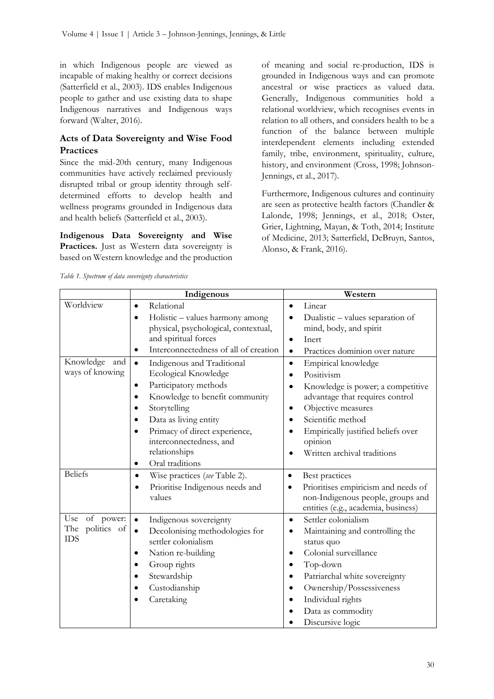in which Indigenous people are viewed as incapable of making healthy or correct decisions (Satterfield et al., 2003). IDS enables Indigenous people to gather and use existing data to shape Indigenous narratives and Indigenous ways forward (Walter, 2016).

#### **Acts of Data Sovereignty and Wise Food Practices**

Since the mid-20th century, many Indigenous communities have actively reclaimed previously disrupted tribal or group identity through selfdetermined efforts to develop health and wellness programs grounded in Indigenous data and health beliefs (Satterfield et al., 2003).

**Indigenous Data Sovereignty and Wise**  Practices. Just as Western data sovereignty is based on Western knowledge and the production

of meaning and social re-production, IDS is grounded in Indigenous ways and can promote ancestral or wise practices as valued data. Generally, Indigenous communities hold a relational worldview, which recognises events in relation to all others, and considers health to be a function of the balance between multiple interdependent elements including extended family, tribe, environment, spirituality, culture, history, and environment (Cross, 1998; Johnson-Jennings, et al., 2017).

Furthermore, Indigenous cultures and continuity are seen as protective health factors (Chandler & Lalonde, 1998; Jennings, et al., 2018; Oster, Grier, Lightning, Mayan, & Toth, 2014; Institute of Medicine, 2013; Satterfield, DeBruyn, Santos, Alonso, & Frank, 2016).

*Table 1. Spectrum of data sovereignty characteristics*

|                                  | Indigenous                                                                                                                               | Western                                                                                                                         |
|----------------------------------|------------------------------------------------------------------------------------------------------------------------------------------|---------------------------------------------------------------------------------------------------------------------------------|
| Worldview                        | Relational<br>$\bullet$                                                                                                                  | Linear<br>$\bullet$                                                                                                             |
|                                  | Holistic - values harmony among<br>physical, psychological, contextual,<br>and spiritual forces<br>Interconnectedness of all of creation | Dualistic - values separation of<br>mind, body, and spirit<br>Inert<br>$\bullet$<br>Practices dominion over nature<br>$\bullet$ |
| Knowledge<br>and                 | Indigenous and Traditional<br>$\bullet$                                                                                                  | Empirical knowledge<br>$\bullet$                                                                                                |
| ways of knowing                  | Ecological Knowledge                                                                                                                     | Positivism                                                                                                                      |
|                                  | Participatory methods<br>٠                                                                                                               | Knowledge is power; a competitive                                                                                               |
|                                  | Knowledge to benefit community                                                                                                           | advantage that requires control                                                                                                 |
|                                  | Storytelling                                                                                                                             | Objective measures<br>٠                                                                                                         |
|                                  | Data as living entity                                                                                                                    | Scientific method<br>$\bullet$                                                                                                  |
|                                  | Primacy of direct experience,<br>interconnectedness, and                                                                                 | Empirically justified beliefs over<br>opinion                                                                                   |
|                                  | relationships                                                                                                                            | Written archival traditions                                                                                                     |
|                                  | Oral traditions<br>٠                                                                                                                     |                                                                                                                                 |
| <b>Beliefs</b>                   | Wise practices (see Table 2).<br>$\bullet$                                                                                               | Best practices<br>$\bullet$                                                                                                     |
|                                  | Prioritise Indigenous needs and<br>values                                                                                                | Prioritises empiricism and needs of<br>$\bullet$<br>non-Indigenous people, groups and<br>entities (e.g., academia, business)    |
| Use<br>of power:                 | Indigenous sovereignty<br>$\bullet$                                                                                                      | Settler colonialism<br>٠                                                                                                        |
| The<br>politics of<br><b>IDS</b> | Decolonising methodologies for<br>$\bullet$<br>settler colonialism                                                                       | Maintaining and controlling the<br>$\bullet$<br>status quo                                                                      |
|                                  | Nation re-building                                                                                                                       | Colonial surveillance                                                                                                           |
|                                  | Group rights                                                                                                                             | Top-down                                                                                                                        |
|                                  | Stewardship                                                                                                                              | Patriarchal white sovereignty                                                                                                   |
|                                  | Custodianship                                                                                                                            | Ownership/Possessiveness                                                                                                        |
|                                  | Caretaking                                                                                                                               | Individual rights                                                                                                               |
|                                  |                                                                                                                                          | Data as commodity                                                                                                               |
|                                  |                                                                                                                                          | Discursive logic                                                                                                                |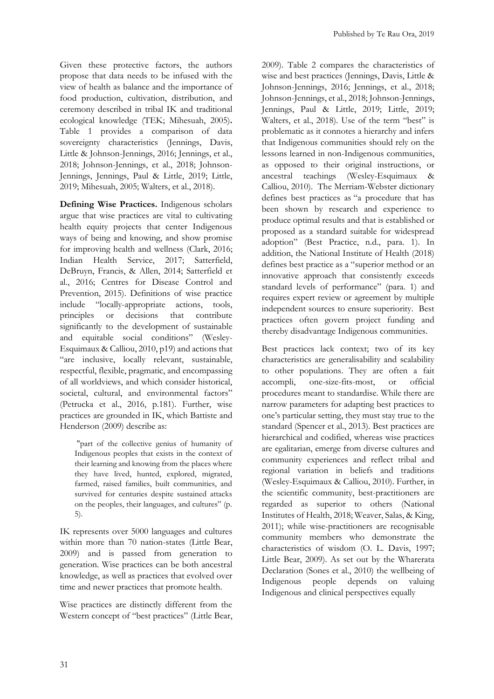Given these protective factors, the authors propose that data needs to be infused with the view of health as balance and the importance of food production, cultivation, distribution, and ceremony described in tribal IK and traditional ecological knowledge (TEK; Mihesuah, 2005)**.**  Table 1 provides a comparison of data sovereignty characteristics (Jennings, Davis, Little & Johnson-Jennings, 2016; Jennings, et al., 2018; Johnson-Jennings, et al., 2018; Johnson-Jennings, Jennings, Paul & Little, 2019; Little, 2019; Mihesuah, 2005; Walters, et al., 2018).

**Defining Wise Practices.** Indigenous scholars argue that wise practices are vital to cultivating health equity projects that center Indigenous ways of being and knowing, and show promise for improving health and wellness (Clark, 2016; Indian Health Service, 2017; Satterfield, DeBruyn, Francis, & Allen, 2014; Satterfield et al., 2016; Centres for Disease Control and Prevention, 2015). Definitions of wise practice include "locally-appropriate actions, tools, principles or decisions that contribute significantly to the development of sustainable and equitable social conditions" (Wesley-Esquimaux & Calliou, 2010, p19) and actions that "are inclusive, locally relevant, sustainable, respectful, flexible, pragmatic, and encompassing of all worldviews, and which consider historical, societal, cultural, and environmental factors" (Petrucka et al., 2016, p.181). Further, wise practices are grounded in IK, which Battiste and Henderson (2009) describe as:

"part of the collective genius of humanity of Indigenous peoples that exists in the context of their learning and knowing from the places where they have lived, hunted, explored, migrated, farmed, raised families, built communities, and survived for centuries despite sustained attacks on the peoples, their languages, and cultures" (p. 5).

IK represents over 5000 languages and cultures within more than 70 nation-states (Little Bear, 2009) and is passed from generation to generation. Wise practices can be both ancestral knowledge, as well as practices that evolved over time and newer practices that promote health.

Wise practices are distinctly different from the Western concept of "best practices" (Little Bear,

2009). Table 2 compares the characteristics of wise and best practices (Jennings, Davis, Little & Johnson-Jennings, 2016; Jennings, et al., 2018; Johnson-Jennings, et al., 2018; Johnson-Jennings, Jennings, Paul & Little, 2019; Little, 2019; Walters, et al., 2018). Use of the term "best" is problematic as it connotes a hierarchy and infers that Indigenous communities should rely on the lessons learned in non-Indigenous communities, as opposed to their original instructions, or ancestral teachings (Wesley-Esquimaux & Calliou, 2010). The Merriam-Webster dictionary defines best practices as "a procedure that has been shown by research and experience to produce optimal results and that is established or proposed as a standard suitable for widespread adoption" (Best Practice, n.d., para. 1). In addition, the National Institute of Health (2018) defines best practice as a "superior method or an innovative approach that consistently exceeds standard levels of performance" (para. 1) and requires expert review or agreement by multiple independent sources to ensure superiority. Best practices often govern project funding and thereby disadvantage Indigenous communities.

Best practices lack context; two of its key characteristics are generalisability and scalability to other populations. They are often a fait accompli, one-size-fits-most, or official procedures meant to standardise. While there are narrow parameters for adapting best practices to one's particular setting, they must stay true to the standard (Spencer et al., 2013). Best practices are hierarchical and codified, whereas wise practices are egalitarian, emerge from diverse cultures and community experiences and reflect tribal and regional variation in beliefs and traditions (Wesley-Esquimaux & Calliou, 2010). Further, in the scientific community, best-practitioners are regarded as superior to others (National Institutes of Health, 2018; Weaver, Salas, & King, 2011); while wise-practitioners are recognisable community members who demonstrate the characteristics of wisdom (O. L. Davis, 1997; Little Bear, 2009). As set out by the Wharerata Declaration (Sones et al., 2010) the wellbeing of Indigenous people depends on valuing Indigenous and clinical perspectives equally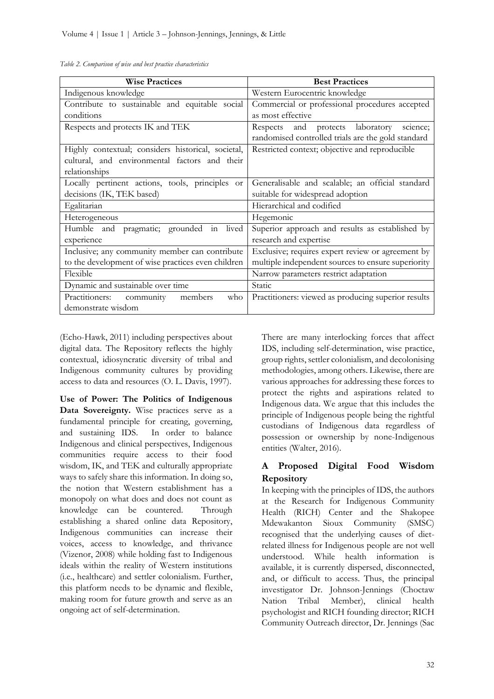| <b>Wise Practices</b>                                     | <b>Best Practices</b>                               |
|-----------------------------------------------------------|-----------------------------------------------------|
| Indigenous knowledge                                      | Western Eurocentric knowledge                       |
| Contribute to sustainable and equitable social            | Commercial or professional procedures accepted      |
| conditions                                                | as most effective                                   |
| Respects and protects IK and TEK                          | and protects laboratory<br>Respects<br>science;     |
|                                                           | randomised controlled trials are the gold standard  |
| Highly contextual; considers historical, societal,        | Restricted context; objective and reproducible      |
| cultural, and environmental factors and their             |                                                     |
| relationships                                             |                                                     |
| Locally pertinent actions, tools, principles<br><b>Or</b> | Generalisable and scalable; an official standard    |
| decisions (IK, TEK based)                                 | suitable for widespread adoption                    |
| Egalitarian                                               | Hierarchical and codified                           |
| Heterogeneous                                             | Hegemonic                                           |
| Humble and pragmatic; grounded in<br>lived                | Superior approach and results as established by     |
| experience                                                | research and expertise                              |
| Inclusive; any community member can contribute            | Exclusive; requires expert review or agreement by   |
| to the development of wise practices even children        | multiple independent sources to ensure superiority  |
| Flexible                                                  | Narrow parameters restrict adaptation               |
| Dynamic and sustainable over time                         | Static                                              |
| Practitioners:<br>community<br>members<br>who             | Practitioners: viewed as producing superior results |
| demonstrate wisdom                                        |                                                     |

*Table 2. Comparison of wise and best practice characteristics*

(Echo-Hawk, 2011) including perspectives about digital data. The Repository reflects the highly contextual, idiosyncratic diversity of tribal and Indigenous community cultures by providing access to data and resources (O. L. Davis, 1997).

**Use of Power: The Politics of Indigenous Data Sovereignty.** Wise practices serve as a fundamental principle for creating, governing, and sustaining IDS. In order to balance Indigenous and clinical perspectives, Indigenous communities require access to their food wisdom, IK, and TEK and culturally appropriate ways to safely share this information. In doing so, the notion that Western establishment has a monopoly on what does and does not count as knowledge can be countered. Through establishing a shared online data Repository, Indigenous communities can increase their voices, access to knowledge, and thrivance (Vizenor, 2008) while holding fast to Indigenous ideals within the reality of Western institutions (i.e., healthcare) and settler colonialism. Further, this platform needs to be dynamic and flexible, making room for future growth and serve as an ongoing act of self-determination.

There are many interlocking forces that affect IDS, including self-determination, wise practice, group rights, settler colonialism, and decolonising methodologies, among others. Likewise, there are various approaches for addressing these forces to protect the rights and aspirations related to Indigenous data. We argue that this includes the principle of Indigenous people being the rightful custodians of Indigenous data regardless of possession or ownership by none-Indigenous entities (Walter, 2016).

#### **A Proposed Digital Food Wisdom Repository**

In keeping with the principles of IDS, the authors at the Research for Indigenous Community Health (RICH) Center and the Shakopee Mdewakanton Sioux Community (SMSC) recognised that the underlying causes of dietrelated illness for Indigenous people are not well understood. While health information is available, it is currently dispersed, disconnected, and, or difficult to access. Thus, the principal investigator Dr. Johnson-Jennings (Choctaw Nation Tribal Member), clinical health psychologist and RICH founding director; RICH Community Outreach director, Dr. Jennings (Sac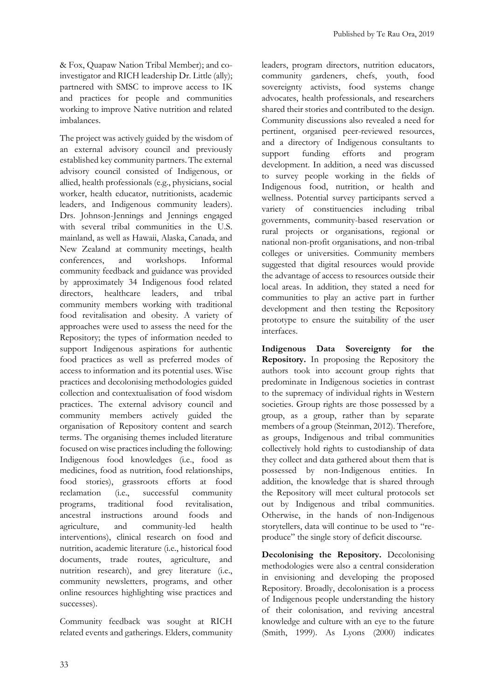& Fox, Quapaw Nation Tribal Member); and coinvestigator and RICH leadership Dr. Little (ally); partnered with SMSC to improve access to IK and practices for people and communities working to improve Native nutrition and related imbalances.

The project was actively guided by the wisdom of an external advisory council and previously established key community partners. The external advisory council consisted of Indigenous, or allied, health professionals (e.g., physicians, social worker, health educator, nutritionists, academic leaders, and Indigenous community leaders). Drs. Johnson-Jennings and Jennings engaged with several tribal communities in the U.S. mainland, as well as Hawaii, Alaska, Canada, and New Zealand at community meetings, health conferences, and workshops. Informal community feedback and guidance was provided by approximately 34 Indigenous food related directors, healthcare leaders, and tribal community members working with traditional food revitalisation and obesity. A variety of approaches were used to assess the need for the Repository; the types of information needed to support Indigenous aspirations for authentic food practices as well as preferred modes of access to information and its potential uses. Wise practices and decolonising methodologies guided collection and contextualisation of food wisdom practices. The external advisory council and community members actively guided the organisation of Repository content and search terms. The organising themes included literature focused on wise practices including the following: Indigenous food knowledges (i.e., food as medicines, food as nutrition, food relationships, food stories), grassroots efforts at food reclamation (i.e., successful community programs, traditional food revitalisation, ancestral instructions around foods and agriculture, and community-led health interventions), clinical research on food and nutrition, academic literature (i.e., historical food documents, trade routes, agriculture, and nutrition research), and grey literature (i.e., community newsletters, programs, and other online resources highlighting wise practices and successes).

Community feedback was sought at RICH related events and gatherings. Elders, community

leaders, program directors, nutrition educators, community gardeners, chefs, youth, food sovereignty activists, food systems change advocates, health professionals, and researchers shared their stories and contributed to the design. Community discussions also revealed a need for pertinent, organised peer-reviewed resources, and a directory of Indigenous consultants to support funding efforts and program development. In addition, a need was discussed to survey people working in the fields of Indigenous food, nutrition, or health and wellness. Potential survey participants served a variety of constituencies including tribal governments, community-based reservation or rural projects or organisations, regional or national non-profit organisations, and non-tribal colleges or universities. Community members suggested that digital resources would provide the advantage of access to resources outside their local areas. In addition, they stated a need for communities to play an active part in further development and then testing the Repository prototype to ensure the suitability of the user interfaces.

**Indigenous Data Sovereignty for the Repository.** In proposing the Repository the authors took into account group rights that predominate in Indigenous societies in contrast to the supremacy of individual rights in Western societies. Group rights are those possessed by a group, as a group, rather than by separate members of a group (Steinman, 2012). Therefore, as groups, Indigenous and tribal communities collectively hold rights to custodianship of data they collect and data gathered about them that is possessed by non-Indigenous entities. In addition, the knowledge that is shared through the Repository will meet cultural protocols set out by Indigenous and tribal communities. Otherwise, in the hands of non-Indigenous storytellers, data will continue to be used to "reproduce" the single story of deficit discourse.

**Decolonising the Repository.** Decolonising methodologies were also a central consideration in envisioning and developing the proposed Repository. Broadly, decolonisation is a process of Indigenous people understanding the history of their colonisation, and reviving ancestral knowledge and culture with an eye to the future (Smith, 1999). As Lyons (2000) indicates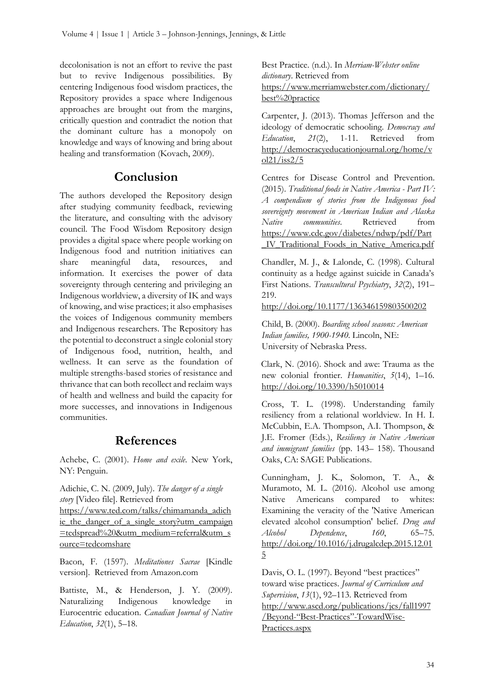decolonisation is not an effort to revive the past but to revive Indigenous possibilities. By centering Indigenous food wisdom practices, the Repository provides a space where Indigenous approaches are brought out from the margins, critically question and contradict the notion that the dominant culture has a monopoly on knowledge and ways of knowing and bring about healing and transformation (Kovach, 2009).

# **Conclusion**

The authors developed the Repository design after studying community feedback, reviewing the literature, and consulting with the advisory council. The Food Wisdom Repository design provides a digital space where people working on Indigenous food and nutrition initiatives can share meaningful data, resources, and information. It exercises the power of data sovereignty through centering and privileging an Indigenous worldview, a diversity of IK and ways of knowing, and wise practices; it also emphasises the voices of Indigenous community members and Indigenous researchers. The Repository has the potential to deconstruct a single colonial story of Indigenous food, nutrition, health, and wellness. It can serve as the foundation of multiple strengths-based stories of resistance and thrivance that can both recollect and reclaim ways of health and wellness and build the capacity for more successes, and innovations in Indigenous communities.

# **References**

Achebe, C. (2001). *Home and exile*. New York, NY: Penguin.

Adichie, C. N. (2009, July). *The danger of a single story* [Video file]. Retrieved from [https://www.ted.com/talks/chimamanda\\_adich](https://www.ted.com/talks/chimamanda_adichie_the_danger_of_a_single_story?utm_campaign=tedspread%20&utm_medium=referral&utm_source=tedcomshare) [ie\\_the\\_danger\\_of\\_a\\_single\\_story?utm\\_campaign](https://www.ted.com/talks/chimamanda_adichie_the_danger_of_a_single_story?utm_campaign=tedspread%20&utm_medium=referral&utm_source=tedcomshare) [=tedspread%20&utm\\_medium=referral&utm\\_s](https://www.ted.com/talks/chimamanda_adichie_the_danger_of_a_single_story?utm_campaign=tedspread%20&utm_medium=referral&utm_source=tedcomshare) [ource=tedcomshare](https://www.ted.com/talks/chimamanda_adichie_the_danger_of_a_single_story?utm_campaign=tedspread%20&utm_medium=referral&utm_source=tedcomshare)

Bacon, F. (1597). *Meditationes Sacrae* [Kindle version]. Retrieved from Amazon.com

Battiste, M., & Henderson, J. Y. (2009). Naturalizing Indigenous knowledge in Eurocentric education. *Canadian Journal of Native Education*, *32*(1), 5–18.

Best Practice. (n.d.). In *Merriam-Webster online dictionary*. Retrieved from [https://www.merriamwebster.com/dictionary/](https://www.merriam-webster.com/dictionary/best%20practice) [best%20practice](https://www.merriam-webster.com/dictionary/best%20practice)

Carpenter, J. (2013). Thomas Jefferson and the ideology of democratic schooling. *Democracy and Education*, *21*(2), 1-11. Retrieved from [http://democracyeducationjournal.org/home/v](http://democracyeducationjournal.org/home/vol21/iss2/5) [ol21/iss2/5](http://democracyeducationjournal.org/home/vol21/iss2/5)

Centres for Disease Control and Prevention. (2015). *Traditional foods in Native America - Part IV: A compendium of stories from the Indigenous food sovereignty movement in American Indian and Alaska Native communities*. Retrieved from [https://www.cdc.gov/diabetes/ndwp/pdf/Part](https://www.cdc.gov/diabetes/ndwp/pdf/Part_IV_Traditional_Foods_in_Native_America.pdf) [\\_IV\\_Traditional\\_Foods\\_in\\_Native\\_America.pdf](https://www.cdc.gov/diabetes/ndwp/pdf/Part_IV_Traditional_Foods_in_Native_America.pdf)

Chandler, M. J., & Lalonde, C. (1998). Cultural continuity as a hedge against suicide in Canada's First Nations. *Transcultural Psychiatry*, *32*(2), 191– 219.

<http://doi.org/10.1177/136346159803500202>

Child, B. (2000). *Boarding school seasons: American Indian families, 1900-1940*. Lincoln, NE: University of Nebraska Press.

Clark, N. (2016). Shock and awe: Trauma as the new colonial frontier. *Humanities*, *5*(14), 1–16. <http://doi.org/10.3390/h5010014>

Cross, T. L. (1998). Understanding family resiliency from a relational worldview. In H. I. McCubbin, E.A. Thompson, A.I. Thompson, & J.E. Fromer (Eds.), *Resiliency in Native American and immigrant families* (pp. 143– 158). Thousand Oaks, CA: SAGE Publications.

Cunningham, J. K., Solomon, T. A., & Muramoto, M. L. (2016). Alcohol use among Native Americans compared to whites: Examining the veracity of the 'Native American elevated alcohol consumption' belief. *Drug and Alcohol Dependence*, *160*, 65–75. [http://doi.org/10.1016/j.drugalcdep.2015.12.01](http://doi.org/10.1016/j.drugalcdep.2015.12.015) [5](http://doi.org/10.1016/j.drugalcdep.2015.12.015) 

Davis, O. L. (1997). Beyond "best practices" toward wise practices. *Journal of Curriculum and Supervision*, *13*(1), 92–113. Retrieved from [http://www.ascd.org/publications/jcs/fall1997](http://www.ascd.org/publications/jcs/fall1997/Beyond-) /Beyond-"Best-Practices"[-TowardWise-](http://www.ascd.org/publications/jcs/fall1997/Beyond-)[Practices.aspx](http://www.ascd.org/publications/jcs/fall1997/Beyond-)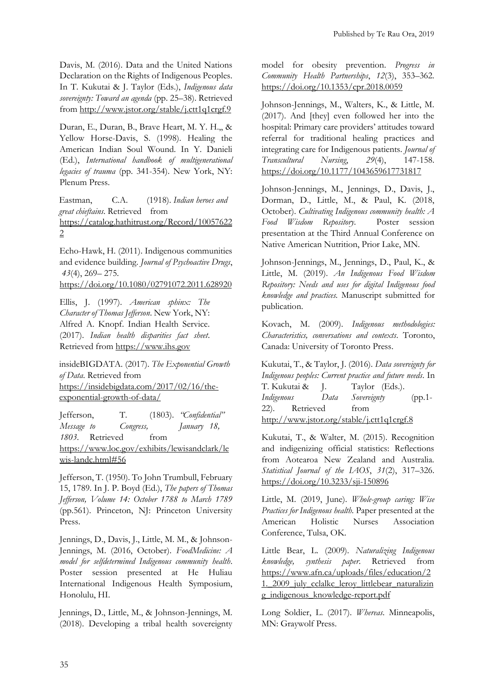Davis, M. (2016). Data and the United Nations Declaration on the Rights of Indigenous Peoples. In T. Kukutai & J. Taylor (Eds.), *Indigenous data sovereignty: Toward an agenda* (pp. 25–38). Retrieved from<http://www.jstor.org/stable/j.ctt1q1crgf.9>

Duran, E., Duran, B., Brave Heart, M. Y. H.,, & Yellow Horse-Davis, S. (1998). Healing the American Indian Soul Wound. In Y. Danieli (Ed.), *International handbook of multigenerational legacies of trauma* (pp. 341-354). New York, NY: Plenum Press.

Eastman, C.A. (1918). *Indian heroes and great chieftains*. Retrieved from [https://catalog.hathitrust.org/Record/10057622](https://catalog.hathitrust.org/Record/100576222) [2](https://catalog.hathitrust.org/Record/100576222) 

Echo-Hawk, H. (2011). Indigenous communities and evidence building. *Journal of Psychoactive Drugs*, *43*(4), 269– 275.

<https://doi.org/10.1080/02791072.2011.628920>

Ellis, J. (1997). *American sphinx: The Character of Thomas Jefferson*. New York, NY: Alfred A. Knopf. Indian Health Service. (2017). *Indian health disparities fact sheet*. Retrieved from [https://www.ihs.gov](https://www.ihs.gov/)

insideBIGDATA. (2017). *The Exponential Growth of Data*. Retrieved from [https://insidebigdata.com/2017/02/16/the](https://insidebigdata.com/2017/02/16/the-exponential-growth-of-data/)[exponential-growth-of-data/](https://insidebigdata.com/2017/02/16/the-exponential-growth-of-data/) 

Jefferson, T. (1803). *"Confidential" Message to Congress, January 18, 1803*. Retrieved from [https://www.loc.gov/exhibits/lewisandclark/le](https://www.loc.gov/exhibits/lewisandclark/lewis-landc.html#56) [wis-landc.html#56](https://www.loc.gov/exhibits/lewisandclark/lewis-landc.html#56) 

Jefferson, T. (1950). To John Trumbull, February 15, 1789. In J. P. Boyd (Ed.), *The papers of Thomas Jefferson, Volume 14: October 1788 to March 1789* (pp.561). Princeton, NJ: Princeton University Press.

Jennings, D., Davis, J., Little, M. M., & Johnson-Jennings, M. (2016, October). *FoodMedicine: A model for selfdetermined Indigenous community health*. Poster session presented at He Huliau International Indigenous Health Symposium, Honolulu, HI.

Jennings, D., Little, M., & Johnson-Jennings, M. (2018). Developing a tribal health sovereignty

model for obesity prevention. *Progress in Community Health Partnerships*, *12*(3), 353–362. <https://doi.org/10.1353/cpr.2018.0059>

Johnson-Jennings, M., Walters, K., & Little, M. (2017). And [they] even followed her into the hospital: Primary care providers' attitudes toward referral for traditional healing practices and integrating care for Indigenous patients. *Journal of Transcultural Nursing*, *29*(4), 147-158. <https://doi.org/10.1177/1043659617731817>

Johnson-Jennings, M., Jennings, D., Davis, J., Dorman, D., Little, M., & Paul, K. (2018, October). *Cultivating Indigenous community health: A Food Wisdom Repository.* Poster session presentation at the Third Annual Conference on Native American Nutrition, Prior Lake, MN.

Johnson-Jennings, M., Jennings, D., Paul, K., & Little, M. (2019). *An Indigenous Food Wisdom Repository: Needs and uses for digital Indigenous food knowledge and practices.* Manuscript submitted for publication.

Kovach, M. (2009). *Indigenous methodologies: Characteristics, conversations and contexts*. Toronto, Canada: University of Toronto Press.

Kukutai, T., & Taylor, J. (2016). *Data sovereignty for Indigenous peoples: Current practice and future needs*. In T. Kukutai & J. Taylor (Eds.). *Indigenous Data Sovereignty* (pp.1- 22). Retrieved from <http://www.jstor.org/stable/j.ctt1q1crgf.8>

Kukutai, T., & Walter, M. (2015). Recognition and indigenizing official statistics: Reflections from Aotearoa New Zealand and Australia. *Statistical Journal of the IAOS*, *31*(2), 317–326. <https://doi.org/10.3233/sji-150896>

Little, M. (2019, June). *Whole-group caring: Wise Practices for Indigenous health.* Paper presented at the American Holistic Nurses Association Conference, Tulsa, OK.

Little Bear, L. (2009). *Naturalizing Indigenous knowledge, synthesis paper*. Retrieved from [https://www.afn.ca/uploads/files/education/2](https://www.afn.ca/uploads/files/education/21._2009_july_cclalkc_leroy_littlebear_naturalizing_indigenous_knowledge-report.pdf) 1. 2009 july cclalkc leroy littlebear naturalizin [g\\_indigenous\\_knowledge-report.pdf](https://www.afn.ca/uploads/files/education/21._2009_july_cclalkc_leroy_littlebear_naturalizing_indigenous_knowledge-report.pdf) 

Long Soldier, L. (2017). *Whereas*. Minneapolis, MN: Graywolf Press.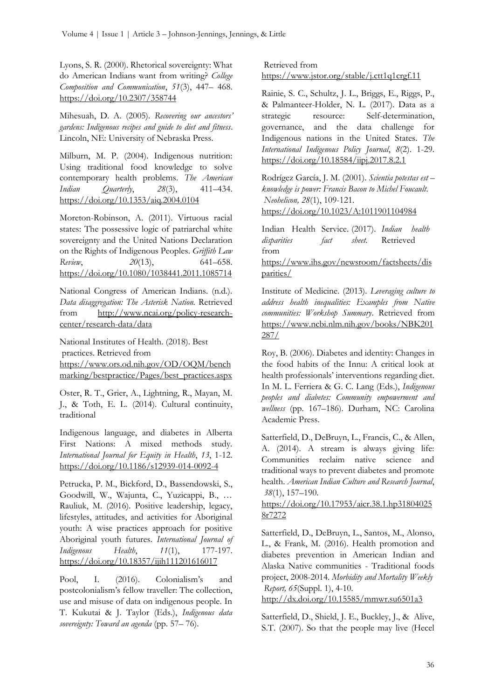Lyons, S. R. (2000). Rhetorical sovereignty: What do American Indians want from writing? *College Composition and Communication*, *51*(3), 447– 468. <https://doi.org/10.2307/358744>

Mihesuah, D. A. (2005). *Recovering our ancestors' gardens: Indigenous recipes and guide to diet and fitness*. Lincoln, NE: University of Nebraska Press.

Milburn, M. P. (2004). Indigenous nutrition: Using traditional food knowledge to solve contemporary health problems. *The American Indian Quarterly*, *28*(3), 411–434. <https://doi.org/10.1353/aiq.2004.0104>

Moreton-Robinson, A. (2011). Virtuous racial states: The possessive logic of patriarchal white sovereignty and the United Nations Declaration on the Rights of Indigenous Peoples. *Griffith Law Review*, *20*(13), 641–658. <https://doi.org/10.1080/1038441.2011.1085714>

National Congress of American Indians. (n.d.). *Data disaggregation: The Asterisk Nation.* Retrieved from [http://www.ncai.org/policy-research](http://www.ncai.org/policy-research-center/research-data/data)[center/research-data/data](http://www.ncai.org/policy-research-center/research-data/data) 

National Institutes of Health. (2018). Best practices. Retrieved from [https://www.ors.od.nih.gov/OD/OQM/bench](https://www.ors.od.nih.gov/OD/OQM/benchmarking/bestpractice/Pages/best_practices.aspx) [marking/bestpractice/Pages/best\\_practices.aspx](https://www.ors.od.nih.gov/OD/OQM/benchmarking/bestpractice/Pages/best_practices.aspx) 

Oster, R. T., Grier, A., Lightning, R., Mayan, M. J., & Toth, E. L. (2014). Cultural continuity, traditional

Indigenous language, and diabetes in Alberta First Nations: A mixed methods study. *International Journal for Equity in Health*, *13*, 1-12. <https://doi.org/10.1186/s12939-014-0092-4>

Petrucka, P. M., Bickford, D., Bassendowski, S., Goodwill, W., Wajunta, C., Yuzicappi, B., … Rauliuk, M. (2016). Positive leadership, legacy, lifestyles, attitudes, and activities for Aboriginal youth: A wise practices approach for positive Aboriginal youth futures. *International Journal of Indigenous Health*, *11*(1), 177-197. <https://doi.org/10.18357/ijih111201616017>

Pool, I. (2016). Colonialism's and postcolonialism's fellow traveller: The collection, use and misuse of data on indigenous people. In T. Kukutai & J. Taylor (Eds.), *Indigenous data sovereignty: Toward an agenda* (pp. 57– 76).

Retrieved from <https://www.jstor.org/stable/j.ctt1q1crgf.11>

Rainie, S. C., Schultz, J. L., Briggs, E., Riggs, P., & Palmanteer-Holder, N. L. (2017). Data as a strategic resource: Self-determination, governance, and the data challenge for Indigenous nations in the United States. *The International Indigenous Policy Journal*, *8*(2). 1-29. <https://doi.org/10.18584/iipj.2017.8.2.1>

Rodrígez García, J. M. (2001). *Scientia potestas est – knowledge is power: Francis Bacon to Michel Foucault*. *Neohelicon, 28*(1), 109-121. <https://doi.org/10.1023/A:1011901104984>

Indian Health Service. (2017). *Indian health disparities fact sheet*. Retrieved from [https://www.ihs.gov/newsroom/factsheets/dis](https://www.ihs.gov/newsroom/factsheets/disparities/)

[parities/](https://www.ihs.gov/newsroom/factsheets/disparities/) 

Institute of Medicine. (2013). *Leveraging culture to address health inequalities: Examples from Native communities: Workshop Summary*. Retrieved from [https://www.ncbi.nlm.nih.gov/books/NBK201](https://www.ncbi.nlm.nih.gov/books/NBK201287/) [287/](https://www.ncbi.nlm.nih.gov/books/NBK201287/) 

Roy, B. (2006). Diabetes and identity: Changes in the food habits of the Innu: A critical look at health professionals' interventions regarding diet. In M. L. Ferriera & G. C. Lang (Eds.), *Indigenous peoples and diabetes: Community empowerment and wellness* (pp. 167–186). Durham, NC: Carolina Academic Press.

Satterfield, D., DeBruyn, L., Francis, C., & Allen, A. (2014). A stream is always giving life: Communities reclaim native science and traditional ways to prevent diabetes and promote health. *American Indian Culture and Research Journal*, *38*(1), 157–190.

[https://doi.org/10.17953/aicr.38.1.hp31804025](https://doi.org/10.17953/aicr.38.1.hp318040258r7272) [8r7272](https://doi.org/10.17953/aicr.38.1.hp318040258r7272) 

Satterfield, D., DeBruyn, L., Santos, M., Alonso, L., & Frank, M. (2016). Health promotion and diabetes prevention in American Indian and Alaska Native communities - Traditional foods project, 2008-2014. *Morbidity and Mortality Weekly Report, 65*(Suppl. 1), 4-10.

<http://dx.doi.org/10.15585/mmwr.su6501a3>

Satterfield, D., Shield, J. E., Buckley, J., & Alive, S.T. (2007). So that the people may live (Hecel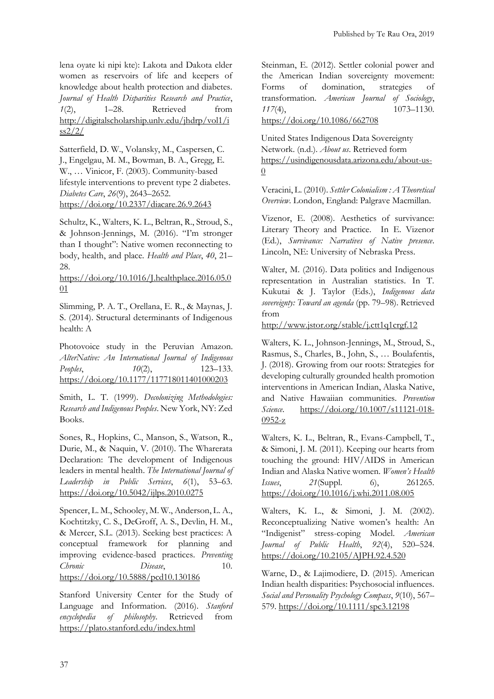lena oyate ki nipi kte): Lakota and Dakota elder women as reservoirs of life and keepers of knowledge about health protection and diabetes. *Journal of Health Disparities Research and Practice*, *1*(2), 1–28. Retrieved from [http://digitalscholarship.unlv.edu/jhdrp/vol1/i](http://digitalscholarship.unlv.edu/jhdrp/vol1/iss2/2/)  $ss2/2/$ 

Satterfield, D. W., Volansky, M., Caspersen, C. J., Engelgau, M. M., Bowman, B. A., Gregg, E. W., … Vinicor, F. (2003). Community-based lifestyle interventions to prevent type 2 diabetes. *Diabetes Care*, *26*(9), 2643–2652. <https://doi.org/10.2337/diacare.26.9.2643>

Schultz, K., Walters, K. L., Beltran, R., Stroud, S., & Johnson-Jennings, M. (2016). "I'm stronger than I thought": Native women reconnecting to body, health, and place. *Health and Place*, *40*, 21– 28.

[https://doi.org/10.1016/J.healthplace.2016.05.0](https://doi.org/10.1016/J.healthplace.2016.05.001)  $01$ 

Slimming, P. A. T., Orellana, E. R., & Maynas, J. S. (2014). Structural determinants of Indigenous health: A

Photovoice study in the Peruvian Amazon. *AlterNative: An International Journal of Indigenous Peoples*, *10*(2), 123–133. <https://doi.org/10.1177/117718011401000203>

Smith, L. T. (1999). *Decolonizing Methodologies: Research and Indigenous Peoples*. New York, NY: Zed Books.

Sones, R., Hopkins, C., Manson, S., Watson, R., Durie, M., & Naquin, V. (2010). The Wharerata Declaration: The development of Indigenous leaders in mental health. *The International Journal of Leadership in Public Services*, *6*(1), 53–63. <https://doi.org/10.5042/ijlps.2010.0275>

Spencer, L. M., Schooley, M. W., Anderson, L. A., Kochtitzky, C. S., DeGroff, A. S., Devlin, H. M., & Mercer, S.L. (2013). Seeking best practices: A conceptual framework for planning and improving evidence-based practices. *Preventing Chronic Disease*, 10. <https://doi.org/10.5888/pcd10.130186>

Stanford University Center for the Study of Language and Information. (2016). *Stanford encyclopedia of philosophy*. Retrieved from <https://plato.stanford.edu/index.html>

Steinman, E. (2012). Settler colonial power and the American Indian sovereignty movement: Forms of domination, strategies of transformation. *American Journal of Sociology*, *117*(4), 1073–1130. <https://doi.org/10.1086/662708>

United States Indigenous Data Sovereignty Network. (n.d.). *About us*. Retrieved form <https://usindigenousdata.arizona.edu/about>[-us-](https://usindigenousdata.arizona.edu/about-us-0) $\overline{0}$  $\overline{0}$  $\overline{0}$ 

Veracini, L. (2010). *Settler Colonialism : A Theoretical Overview*. London, England: Palgrave Macmillan.

Vizenor, E. (2008). Aesthetics of survivance: Literary Theory and Practice. In E. Vizenor (Ed.), *Survivance: Narratives of Native presence*. Lincoln, NE: University of Nebraska Press.

Walter, M. (2016). Data politics and Indigenous representation in Australian statistics. In T. Kukutai & J. Taylor (Eds.), *Indigenous data sovereignty: Toward an agenda* (pp. 79–98). Retrieved from

<http://www.jstor.org/stable/j.ctt1q1crgf.12>

Walters, K. L., Johnson-Jennings, M., Stroud, S., Rasmus, S., Charles, B., John, S., … Boulafentis, J. (2018). Growing from our roots: Strategies for developing culturally grounded health promotion interventions in American Indian, Alaska Native, and Native Hawaiian communities. *Prevention Science*. [https://doi.org/10.1007/s11121-018-](https://doi.org/10.1007/s11121-018-0952-z) [0952-z](https://doi.org/10.1007/s11121-018-0952-z) 

Walters, K. L., Beltran, R., Evans-Campbell, T., & Simoni, J. M. (2011). Keeping our hearts from touching the ground: HIV/AIDS in American Indian and Alaska Native women. *Women's Health Issues*, 21(Suppl. 6), 261265. <https://doi.org/10.1016/j.whi.2011.08.005>

Walters, K. L., & Simoni, J. M. (2002). Reconceptualizing Native women's health: An "Indigenist" stress-coping Model. *American Journal of Public Health*, *92*(4), 520–524. <https://doi.org/10.2105/AJPH.92.4.520>

Warne, D., & Lajimodiere, D. (2015). American Indian health disparities: Psychosocial influences. *Social and Personality Psychology Compass*, *9*(10), 567– 579.<https://doi.org/10.1111/spc3.12198>